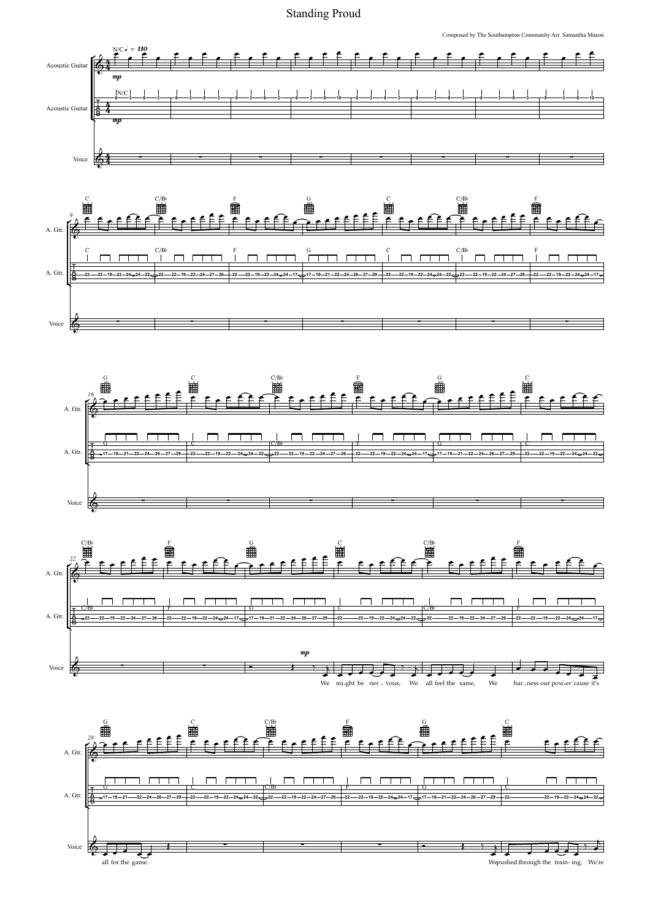Standing Proud<br>
Composed by The Southampton Community Arr. S



Wepushed through the train-ing, We're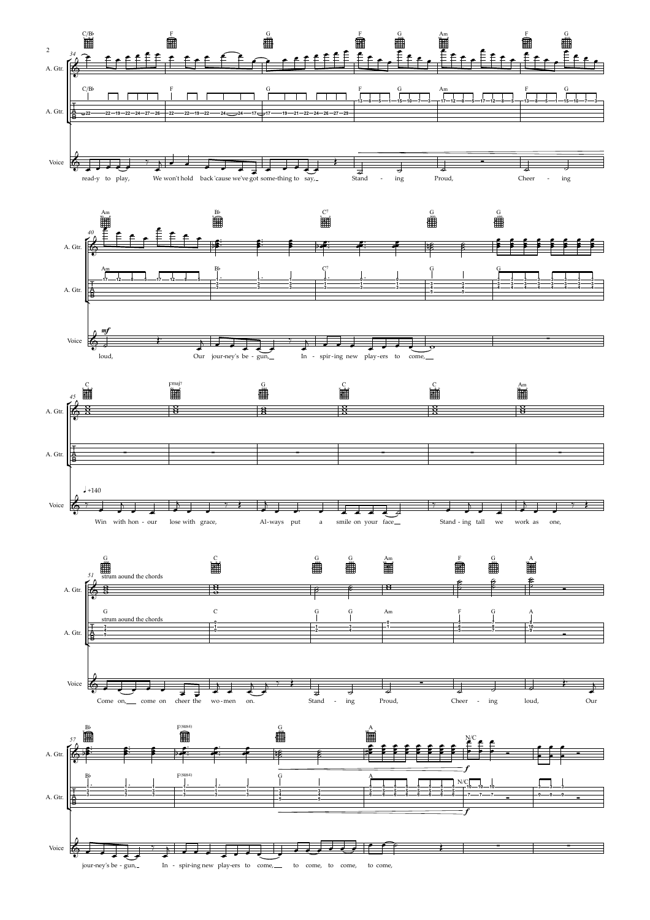